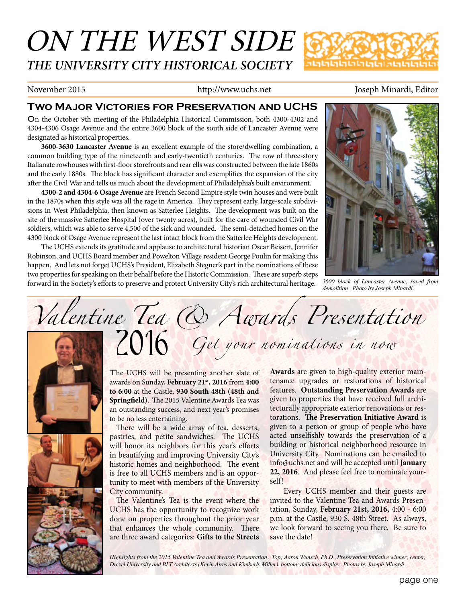## ON THE WEST SIDE *THE UNIVERSITY CITY HISTORICAL SOCIETY*



#### November 2015 http://www.uchs.net Joseph Minardi, Editor

#### **Two Major Victories for Preservation and UCHS**

On the October 9th meeting of the Philadelphia Historical Commission, both 4300-4302 and 4304-4306 Osage Avenue and the entire 3600 block of the south side of Lancaster Avenue were designated as historical properties.

**3600-3630 Lancaster Avenue** is an excellent example of the store/dwelling combination, a common building type of the nineteenth and early-twentieth centuries. The row of three-story Italianate rowhouses with first-floor storefronts and rear ells was constructed between the late 1860s and the early 1880s. The block has significant character and exemplifies the expansion of the city after the Civil War and tells us much about the development of Philadelphia's built environment.

**4300-2 and 4304-6 Osage Avenue** are French Second Empire style twin houses and were built in the 1870s when this style was all the rage in America. They represent early, large-scale subdivisions in West Philadelphia, then known as Satterlee Heights. The development was built on the site of the massive Satterlee Hospital (over twenty acres), built for the care of wounded Civil War soldiers, which was able to serve 4,500 of the sick and wounded. The semi-detached homes on the 4300 block of Osage Avenue represent the last intact block from the Satterlee Heights development.

The UCHS extends its gratitude and applause to architectural historian Oscar Beisert, Jennifer Robinson, and UCHS Board member and Powelton Village resident George Poulin for making this happen. And lets not forget UCHS's President, Elizabeth Stegner's part in the nominations of these two properties for speaking on their behalf before the Historic Commission. These are superb steps forward in the Society's efforts to preserve and protect University City's rich architectural heritage.



*3600 block of Lancaster Avenue, saved from demolition. Photo by Joseph Minardi.*

# *Valentine Tea & Awards Presentation Get your nominations in now* 2016

The UCHS will be presenting another slate of awards on Sunday, **February 21st, 2016** from **4:00 to 6:00** at the Castle, **930 South 48th (48th and Springfield)**. The 2015 Valentine Awards Tea was an outstanding success, and next year's promises to be no less entertaining.

There will be a wide array of tea, desserts, pastries, and petite sandwiches. The UCHS will honor its neighbors for this year's efforts in beautifying and improving University City's historic homes and neighborhood. The event is free to all UCHS members and is an opportunity to meet with members of the University City community.

The Valentine's Tea is the event where the UCHS has the opportunity to recognize work done on properties throughout the prior year that enhances the whole community. There are three award categories: **Gifts to the Streets** 

**Awards** are given to high-quality exterior maintenance upgrades or restorations of historical features. **Outstanding Preservation Awards** are given to properties that have received full architecturally appropriate exterior renovations or restorations. **The Preservation Initiative Award** is given to a person or group of people who have acted unselfishly towards the preservation of a building or historical neighborhood resource in University City. Nominations can be emailed to info@uchs.net and will be accepted until **January 22, 2016**. And please feel free to nominate yourself!

Every UCHS member and their guests are invited to the Valentine Tea and Awards Presentation, Sunday, **February 21st, 2016,** 4:00 - 6:00 p.m. at the Castle, 930 S. 48th Street. As always, we look forward to seeing you there. Be sure to save the date!

*Highlights from the 2015 Valentine Tea and Awards Presentation. Top; Aaron Wunsch, Ph.D., Preservation Initiative winner; center, Drexel University and BLT Architects (Kevin Aires and Kimberly Miller), bottom; delicious display. Photos by Joseph Minardi.*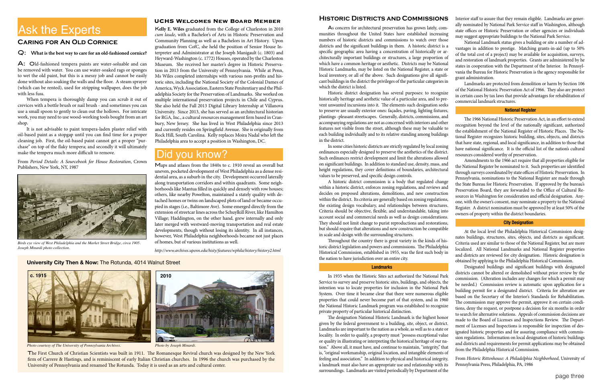#### **Historic Districts and Commissions**

Historic district designation has several purposes: to recognize historically heritage and aesthetic value of a particular area, and to prevent unwanted incursions into it. The elements such designation seeks to preserve are usually exterior ones: façades, paving, lighting fixtures, plantings -pleasant streetscapes. Generally, districts, commissions, and accompanying regulations are not as concerned with interiors and other features not visible from the street, although these may be valuable to each building individually and to its relative standing among buildings in the district.

In some cities historic districts are strictly regulated by local zoning ordinances especially designed to preserve the aesthetics of the district. Such ordinances restrict development and limit the alterations allowed on significant buildings. In addition to standard use, density, mass, and height regulations, they cover definitions of boundaries, architectural values to be preserved, and specific design controls.

A historic district commission is a body that regulated change within a historic district, enforces zoning regulations, and reviews and decides on proposed alterations, demolitions, and new construction within the district. Its criteria are generally based on zoning regulations, the existing design vocabulary, and relationships between structures. Criteria should be objective, flexible, and understandable, taking into account social and commercial needs as well as design considerations. They should not limit change to purist reproductions and restorations, but should require that alterations and new construction be compatible in scale and design with the surrounding structures.

As concern for architectural preservation has grown lately, communities throughout the United States have established increasing numbers of historic districts and commissions to watch over those districts and the significant buildings in them. A historic district is a specific geographic area having a concentration of historically or architecturally important buildings or structures, a large proportion of which have a common heritage or aesthetic. Districts may be National Historic Landmarks, may be listed on the National Register, a state or local inventory, or all of the above. Such designations give all significant buildings in the district the privileges of the particular categories in which the district is listed. state offices or Historic Preservation or other agencies or individuals may suggest appropriate buildings to the National Park Service. National Landmark status gives a building or site a number of advantages in addition to prestige. Matching grants-in-aid (up to 50% of the total cost of a project) may be available for acquisition, surveys, and restoration of landmark properties. Grants are administered by he states in cooperation with the Department of the Interior. In Pennsylvania the Bureau for Historic Preservation is the agency responsible for grant administration. Landmarks are protected from demolition or harm by Section 106

Throughout the country there is great variety in the kinds of historic district legislation and powers and commissions. The Philadelphia Historical Commission, established in 1955, was the first such body in the nation to have jurisdiction over an entire city.

#### **Landmarks**

In 1935 when the Historic Sites act authorized the National Park Service to survey and preserve historic sites, buildings, and objects, the intention was to locate properties for inclusion in the National Park System. Over time it became clear that there were numerous eligible properties that could never become part of that system, and in 1960 the National Historic Landmark program was established to recognize private property of particular historical distinction.

Interior staff to assure that they remain eligible. Landmarks are generally nominated by National Park Service staff in Washington, although

of the National Historic Preservation Act of 1966. They also are protect in certain cases by tax laws that provide advantages for rehabilitation of commercial landmark structures.

#### **National Register**

The 1966 National Historic Preservation Act, in an effort to extend recognition beyond the level of the nationally significant, authorized the establishment of the National Register of Historic Places. The National Register recognizes historic building, sites, objects, and districts that have state, regional, and local significance, in addition to those that have national significance. It is the official list of the nation's cultural resources considered worthy of preservation.

The designation National Historic Landmark is the highest honor given by the federal government to a building, site, object, or district. Landmarks are important to the nation as a whole, as well as to a state or locality. In order to qualify, a property must "possess exceptional value or quality in illustrating or interpreting the historical heritage of our nation." Above all, it must have, and continue to maintain, "integrity," that is, "original workmanship, original location, and intangible elements of feeling and association." In addition to physical and historical integrity, a landmark must also have an appropriate use and relationship with its surroundings. Landmarks are visited periodically by Department of the made to the Board of Licenses and Inspections Review. The Department of Licenses and Inspections is responsible for inspection of designated historic properties and for assuring compliance with commission regulations. Information on local designation of historic buildings and districts and requirements for permit applications may be obtained from the Philadelphia Historical Commission. From *Historic Rittenhouse: A Philadelphia Neighborhood*, University of Pennsylvania Press, Philadelphia, PA, 1986

Amendments to the 1966 act require that all properties eligible for the National Register be nominated to it. Such properties are identified through surveys coordinated by state offices of Historic Preservation. In Pennsylvania, nominations to the National Register are made through the State Bureau for Historic Preservation. If approved by the bureau's Preservation Board, they are forwarded to the Office of Cultural Resources in Washington for consideration and official designation. Anyone, with the owner's consent, may nominate a property to the National Register. A district nomination must be approved by at least 50% of the owners of property within the district boundaries.

#### **City Designation**

At the local level the Philadelphia Historical Commission designates buildings, structures, sites, objects, and districts as significant. Criteria used are similar to those of the National Register, but are more localized. All National Landmarks and National Register properties and districts are reviewed for city designation. Historic designation is obtained by applying to the Philadelphia Historical Commission.

Designated buildings and significant buildings with designated districts cannot be altered or demolished without prior review by the commission. (Alteration includes any changes for which a permit may be needed.) Commission review is automatic upon application for a building permit for a designated district. Criteria for alteration are based on the Secretary of the Interior's Standards for Rehabilitation. The commission may approve the permit, approve it on certain conditions, deny the request, or postpone a decision for six months in order to search for alternative solutions. Appeals of commission decisions are

#### Q: W**hat is the best way to care for an old-fashioned cornice?**

A: Old-fashioned tempera paints are water-soluable and can be removed with water. You can use water-soaked rags or sponges to wet the old paint, but this is a messy job and cannot be easily done without also soaking the walls and the floor. A steam sprayer (which can be rented), used for stripping wallpaper, does the job with less fuss.

When tempera is thoroughly damp you can scrub it out of crevices with a bottle brush or nail brush - and sometimes you can use a small spoon to gently to clean out the hollows. For intricate work, you may need to use wood-working tools bought from an art shop.

It is not advisable to paint tempera-laden plaster relief with oil-based paint as a stopgap until you can find time for a proper cleaning job. First, the oil-based paint cannot get a proper "purchase" on top of the flaky tempera; and secondly it will ultimately make the tempera much more difficult to remove.

From *Period Details: A Sourcebook for House Restoration*, Crown Publishers, New York, NY, 1987

### **Caring for An Old Cornice**

### Ask the Experts

#### **UCHS Welcomes New Board Member**

K**elly E. Wiles** graduated from the College of Charleston in 2010 *cum laude*, with a Bachelor's of Arts in Historic Preservation and Community Planning as well as a Bachelors in Art History. Upon graduation from CofC, she held the position of Senior House Interpreter and Administrator at the Joseph Manigault (c. 1803) and Heyward-Washington (c. 1772) Houses, operated by the Charleston Museum. She received her master's degree in Historic Preservation in 2013 from the University of Pennsylvania. While at Penn, Ms Wiles completed internships with various non-profits and historic sites, including the National Society of the Colonial Dames of America, Wyck Association, Eastern State Penitentiary and the Philadelphia Society for the Preservation of Landmarks. She worked on multiple international preservation projects in Chile and Cyprus. She also held the Fall 2013 Digital Library Internship at Villanova University. Since 2013, she has served as an architectural historian for RGA, Inc., a cultural resources management firm based in Cranbury, New Jersey. She has lived in West Philadelphia since 2013 and currently resides on Springfield Avenue. She is originally from Rock Hill, South Carolina. Kelly replaces Moira Nadal who left the Philadelphia area to accept a position in Washington, DC.

### Did you know?

Maps and atlases from the 1840s to c. 1910 reveal an overall but uneven, pocketed development of West Philadelphia as a dense residential area, as a suburb in the city. Development occurred laterally along transportation corridors and within quadrants. Some neighborhoods like Mantua filled in quickly and densely with row houses; others, like nearby Powelton, maintained a stately quality with detached homes or twins on landscaped plots of land or became occupied in stages (i.e., Baltimore Ave). Some emerged directly from the extension of streetcar lines across the Schuylkill River, like Hamilton Village; Haddington, on the other hand, grew internally and only later merged with westward-moving transportation and real estate developments, though without losing its identity. In all instances, however, West Philadelphia neighborhoods became not just places of homes, but of various institutions as well.

*http://www.archives.upenn.edu/histy/features/wphila/history/history2.html*



*Photo courtesy of The University of Pennsylvania Archives. Photo by Joseph Minardi.*

The First Church of Christian Scientists was built in 1911. The Romanesque Revival church was designed by the New York firm of Carrere & Hastings, and is reminiscent of early Italian Christian churches. In 1996 the church was purchased by the University of Pennsylvania and renamed The Rotunda. Today it is used as an arts and cultural center.



*Birds eye view of West Philadelphia and the Market Street Bridge, circa 1905. Joseph Minardi photo collection.*

#### **University City Then & Now:** The Rotunda, 4014 Walnut Street